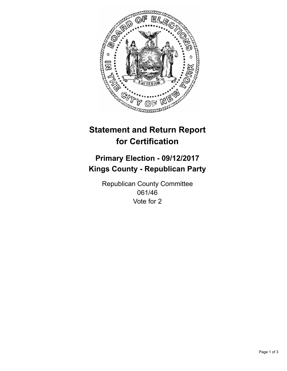

## **Statement and Return Report for Certification**

## **Primary Election - 09/12/2017 Kings County - Republican Party**

Republican County Committee 061/46 Vote for 2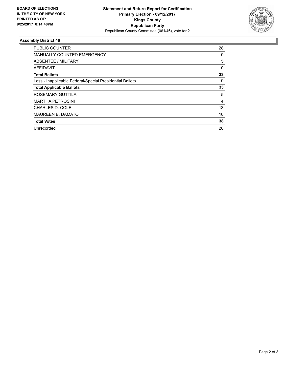

## **Assembly District 46**

| <b>PUBLIC COUNTER</b>                                    | 28       |
|----------------------------------------------------------|----------|
| MANUALLY COUNTED EMERGENCY                               | 0        |
| ABSENTEE / MILITARY                                      | 5        |
| AFFIDAVIT                                                | $\Omega$ |
| <b>Total Ballots</b>                                     | 33       |
| Less - Inapplicable Federal/Special Presidential Ballots | 0        |
| <b>Total Applicable Ballots</b>                          | 33       |
| ROSEMARY GUTTILA                                         | 5        |
| <b>MARTHA PETROSINI</b>                                  | 4        |
| <b>CHARLES D. COLE</b>                                   | 13       |
| <b>MAUREEN B. DAMATO</b>                                 | 16       |
| <b>Total Votes</b>                                       | 38       |
| Unrecorded                                               | 28       |